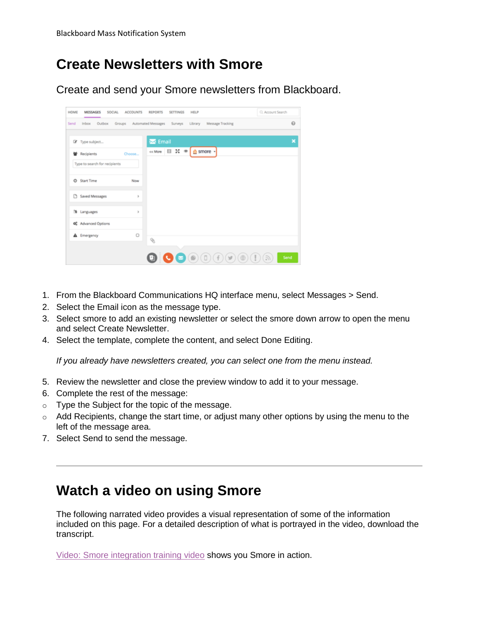## **Create Newsletters with Smore**

Create and send your Smore newsletters from Blackboard.

| HOME<br>MESSAGES<br>SOCIAL            | <b>ACCOUNTS</b><br><b>REPORTS</b><br><b>SETTINGS</b>       | HELP                                           | C. Account Search |
|---------------------------------------|------------------------------------------------------------|------------------------------------------------|-------------------|
| <b>Outbox</b><br>Send<br><b>Inbox</b> | Groups Automated Messages Surveys Library Message Tracking |                                                | $\odot$           |
| Z Type subject                        | $\overline{\sim}$ Email                                    |                                                | ×                 |
| 발 Recipients                          | Choose                                                     | << More   目 24 <sup>@</sup>   <u>☆</u> smore - |                   |
| Type to search for recipients         |                                                            |                                                |                   |
| C Start Time                          | Now                                                        |                                                |                   |
| Saved Messages                        | $\,$                                                       |                                                |                   |
| <b>3</b> Languages                    | $\geq$                                                     |                                                |                   |
| O <sub>6</sub> Advanced Options       |                                                            |                                                |                   |
| A Emergency                           | $\Box$<br>⇖                                                |                                                |                   |
|                                       |                                                            |                                                |                   |
|                                       | o                                                          |                                                | Send              |

- 1. From the Blackboard Communications HQ interface menu, select Messages > Send.
- 2. Select the Email icon as the message type.
- 3. Select smore to add an existing newsletter or select the smore down arrow to open the menu and select Create Newsletter.
- 4. Select the template, complete the content, and select Done Editing.

*If you already have newsletters created, you can select one from the menu instead.*

- 5. Review the newsletter and close the preview window to add it to your message.
- 6. Complete the rest of the message:
- o Type the Subject for the topic of the message.
- o Add Recipients, change the start time, or adjust many other options by using the menu to the left of the message area.
- 7. Select Send to send the message.

## **Watch a video on using Smore**

The following narrated video provides a visual representation of some of the information included on this page. For a detailed description of what is portrayed in the video, download the transcript.

[Video: Smore integration training video](https://youtu.be/c-8S-N2kZe4) shows you Smore in action.